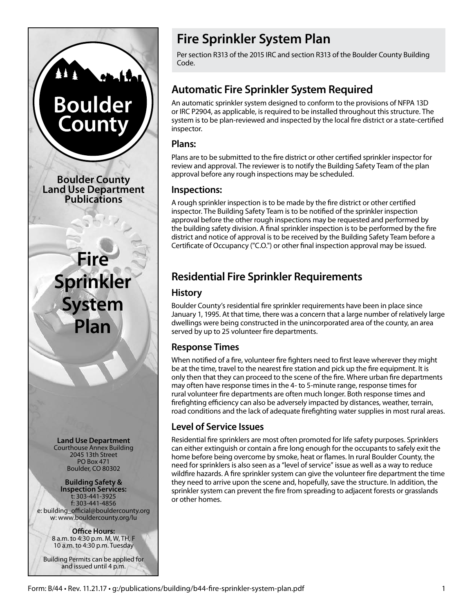

# **Fire Sprinkler System Plan**

Per section R313 of the 2015 IRC and section R313 of the Boulder County Building Code.

# **Automatic Fire Sprinkler System Required**

An automatic sprinkler system designed to conform to the provisions of NFPA 13D or IRC P2904, as applicable, is required to be installed throughout this structure. The system is to be plan-reviewed and inspected by the local fire district or a state-certified inspector.

#### **Plans:**

Plans are to be submitted to the fire district or other certified sprinkler inspector for review and approval. The reviewer is to notify the Building Safety Team of the plan approval before any rough inspections may be scheduled.

#### **Inspections:**

A rough sprinkler inspection is to be made by the fire district or other certified inspector. The Building Safety Team is to be notified of the sprinkler inspection approval before the other rough inspections may be requested and performed by the building safety division. A final sprinkler inspection is to be performed by the fire district and notice of approval is to be received by the Building Safety Team before a Certificate of Occupancy ("C.O.") or other final inspection approval may be issued.

# **Residential Fire Sprinkler Requirements**

### **History**

Boulder County's residential fire sprinkler requirements have been in place since January 1, 1995. At that time, there was a concern that a large number of relatively large dwellings were being constructed in the unincorporated area of the county, an area served by up to 25 volunteer fire departments.

# **Response Times**

When notified of a fire, volunteer fire fighters need to first leave wherever they might be at the time, travel to the nearest fire station and pick up the fire equipment. It is only then that they can proceed to the scene of the fire. Where urban fire departments may often have response times in the 4- to 5-minute range, response times for rural volunteer fire departments are often much longer. Both response times and firefighting efficiency can also be adversely impacted by distances, weather, terrain, road conditions and the lack of adequate firefighting water supplies in most rural areas.

# **Level of Service Issues**

Residential fire sprinklers are most often promoted for life safety purposes. Sprinklers can either extinguish or contain a fire long enough for the occupants to safely exit the home before being overcome by smoke, heat or flames. In rural Boulder County, the need for sprinklers is also seen as a "level of service" issue as well as a way to reduce wildfire hazards. A fire sprinkler system can give the volunteer fire department the time they need to arrive upon the scene and, hopefully, save the structure. In addition, the sprinkler system can prevent the fire from spreading to adjacent forests or grasslands or other homes.